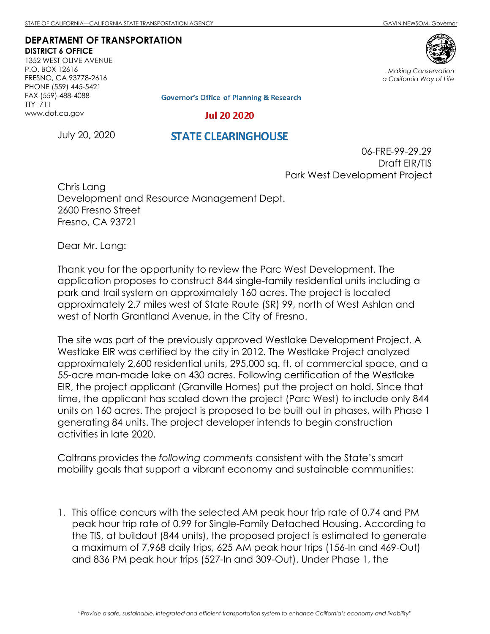## **DEPARTMENT OF TRANSPORTATION DISTRICT 6 OFFICE**

1352 WEST OLIVE AVENUE P.O. BOX 12616 FRESNO, CA 93778-2616 PHONE (559) 445-5421 FAX (559) 488-4088 TTY 711 www.dot.ca.gov



*Making Conservation a California Way of Life*

**Governor's Office of Planning & Research** 

## **Jul 20 2020**

July 20, 2020

## **STATE CLEARINGHOUSE**

06-FRE-99-29.29 Draft EIR/TIS Park West Development Project

Chris Lang Development and Resource Management Dept. 2600 Fresno Street Fresno, CA 93721

Dear Mr. Lang:

Thank you for the opportunity to review the Parc West Development. The application proposes to construct 844 single-family residential units including a park and trail system on approximately 160 acres. The project is located approximately 2.7 miles west of State Route (SR) 99, north of West Ashlan and west of North Grantland Avenue, in the City of Fresno.

The site was part of the previously approved Westlake Development Project. A Westlake EIR was certified by the city in 2012. The Westlake Project analyzed approximately 2,600 residential units, 295,000 sq. ft. of commercial space, and a 55-acre man-made lake on 430 acres. Following certification of the Westlake EIR, the project applicant (Granville Homes) put the project on hold. Since that time, the applicant has scaled down the project (Parc West) to include only 844 units on 160 acres. The project is proposed to be built out in phases, with Phase 1 generating 84 units. The project developer intends to begin construction activities in late 2020.

Caltrans provides the *following comments* consistent with the State's smart mobility goals that support a vibrant economy and sustainable communities:

1. This office concurs with the selected AM peak hour trip rate of 0.74 and PM peak hour trip rate of 0.99 for Single-Family Detached Housing. According to the TIS, at buildout (844 units), the proposed project is estimated to generate a maximum of 7,968 daily trips, 625 AM peak hour trips (156-In and 469-Out) and 836 PM peak hour trips (527-In and 309-Out). Under Phase 1, the